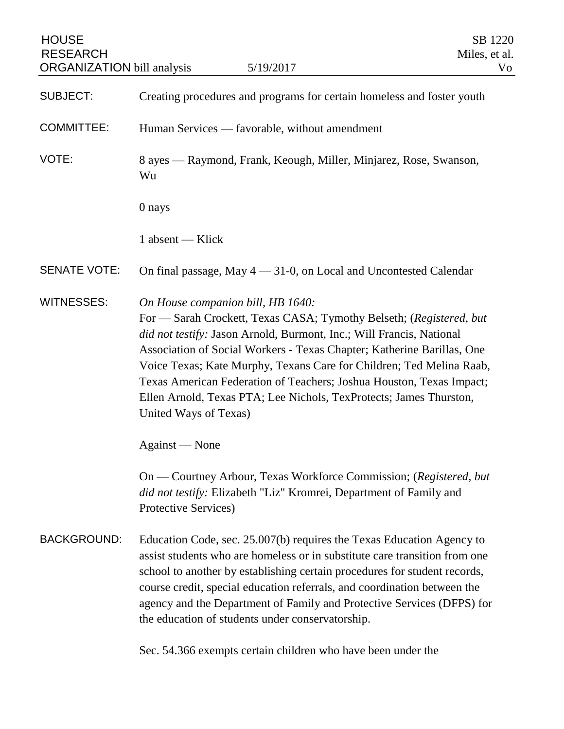| <b>HOUSE</b><br><b>RESEARCH</b><br><b>ORGANIZATION</b> bill analysis | 5/19/2017                                                                                                                                                                                                                                                                                                                                                                                                                                                                                                  | SB 1220<br>Miles, et al.<br>Vo |
|----------------------------------------------------------------------|------------------------------------------------------------------------------------------------------------------------------------------------------------------------------------------------------------------------------------------------------------------------------------------------------------------------------------------------------------------------------------------------------------------------------------------------------------------------------------------------------------|--------------------------------|
| <b>SUBJECT:</b>                                                      | Creating procedures and programs for certain homeless and foster youth                                                                                                                                                                                                                                                                                                                                                                                                                                     |                                |
| <b>COMMITTEE:</b>                                                    | Human Services — favorable, without amendment                                                                                                                                                                                                                                                                                                                                                                                                                                                              |                                |
| VOTE:                                                                | 8 ayes — Raymond, Frank, Keough, Miller, Minjarez, Rose, Swanson,<br>Wu                                                                                                                                                                                                                                                                                                                                                                                                                                    |                                |
|                                                                      | 0 nays                                                                                                                                                                                                                                                                                                                                                                                                                                                                                                     |                                |
|                                                                      | 1 absent — Klick                                                                                                                                                                                                                                                                                                                                                                                                                                                                                           |                                |
| <b>SENATE VOTE:</b>                                                  | On final passage, May 4 - 31-0, on Local and Uncontested Calendar                                                                                                                                                                                                                                                                                                                                                                                                                                          |                                |
| <b>WITNESSES:</b>                                                    | On House companion bill, HB 1640:<br>For — Sarah Crockett, Texas CASA; Tymothy Belseth; (Registered, but<br>did not testify: Jason Arnold, Burmont, Inc.; Will Francis, National<br>Association of Social Workers - Texas Chapter; Katherine Barillas, One<br>Voice Texas; Kate Murphy, Texans Care for Children; Ted Melina Raab,<br>Texas American Federation of Teachers; Joshua Houston, Texas Impact;<br>Ellen Arnold, Texas PTA; Lee Nichols, TexProtects; James Thurston,<br>United Ways of Texas)  |                                |
|                                                                      | Against — None                                                                                                                                                                                                                                                                                                                                                                                                                                                                                             |                                |
|                                                                      | On — Courtney Arbour, Texas Workforce Commission; (Registered, but<br>did not testify: Elizabeth "Liz" Kromrei, Department of Family and<br>Protective Services)                                                                                                                                                                                                                                                                                                                                           |                                |
| <b>BACKGROUND:</b>                                                   | Education Code, sec. 25.007(b) requires the Texas Education Agency to<br>assist students who are homeless or in substitute care transition from one<br>school to another by establishing certain procedures for student records,<br>course credit, special education referrals, and coordination between the<br>agency and the Department of Family and Protective Services (DFPS) for<br>the education of students under conservatorship.<br>Sec. 54.366 exempts certain children who have been under the |                                |
|                                                                      |                                                                                                                                                                                                                                                                                                                                                                                                                                                                                                            |                                |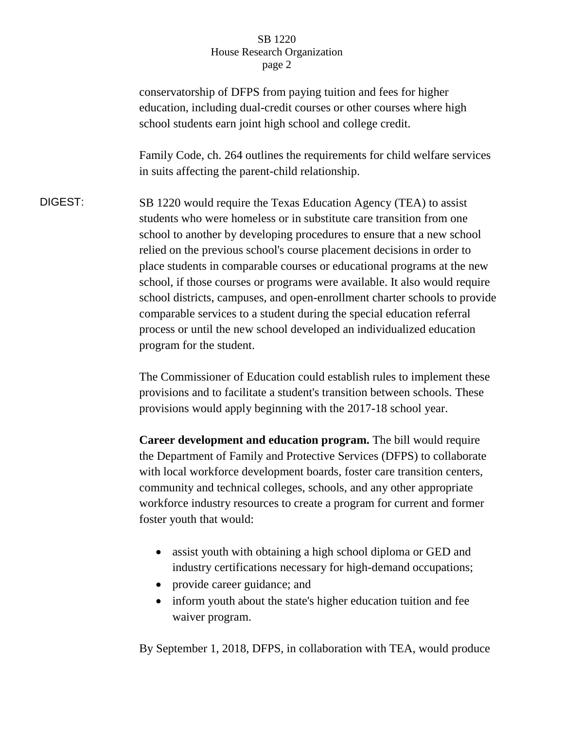## SB 1220 House Research Organization page 2

conservatorship of DFPS from paying tuition and fees for higher education, including dual-credit courses or other courses where high school students earn joint high school and college credit. Family Code, ch. 264 outlines the requirements for child welfare services in suits affecting the parent-child relationship. DIGEST: SB 1220 would require the Texas Education Agency (TEA) to assist students who were homeless or in substitute care transition from one school to another by developing procedures to ensure that a new school relied on the previous school's course placement decisions in order to place students in comparable courses or educational programs at the new school, if those courses or programs were available. It also would require school districts, campuses, and open-enrollment charter schools to provide comparable services to a student during the special education referral process or until the new school developed an individualized education program for the student. The Commissioner of Education could establish rules to implement these provisions and to facilitate a student's transition between schools. These provisions would apply beginning with the 2017-18 school year.

> **Career development and education program.** The bill would require the Department of Family and Protective Services (DFPS) to collaborate with local workforce development boards, foster care transition centers, community and technical colleges, schools, and any other appropriate workforce industry resources to create a program for current and former foster youth that would:

- assist youth with obtaining a high school diploma or GED and industry certifications necessary for high-demand occupations;
- provide career guidance; and
- inform youth about the state's higher education tuition and fee waiver program.

By September 1, 2018, DFPS, in collaboration with TEA, would produce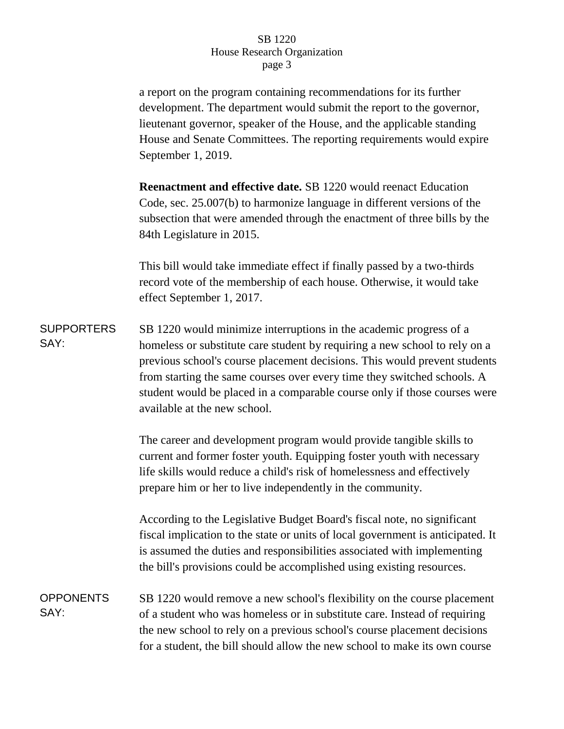## SB 1220 House Research Organization page 3

a report on the program containing recommendations for its further development. The department would submit the report to the governor, lieutenant governor, speaker of the House, and the applicable standing House and Senate Committees. The reporting requirements would expire September 1, 2019.

**Reenactment and effective date.** SB 1220 would reenact Education Code, sec. 25.007(b) to harmonize language in different versions of the subsection that were amended through the enactment of three bills by the 84th Legislature in 2015.

This bill would take immediate effect if finally passed by a two-thirds record vote of the membership of each house. Otherwise, it would take effect September 1, 2017.

**SUPPORTERS** SAY: SB 1220 would minimize interruptions in the academic progress of a homeless or substitute care student by requiring a new school to rely on a previous school's course placement decisions. This would prevent students from starting the same courses over every time they switched schools. A student would be placed in a comparable course only if those courses were available at the new school.

> The career and development program would provide tangible skills to current and former foster youth. Equipping foster youth with necessary life skills would reduce a child's risk of homelessness and effectively prepare him or her to live independently in the community.

According to the Legislative Budget Board's fiscal note, no significant fiscal implication to the state or units of local government is anticipated. It is assumed the duties and responsibilities associated with implementing the bill's provisions could be accomplished using existing resources.

**OPPONENTS** SAY: SB 1220 would remove a new school's flexibility on the course placement of a student who was homeless or in substitute care. Instead of requiring the new school to rely on a previous school's course placement decisions for a student, the bill should allow the new school to make its own course